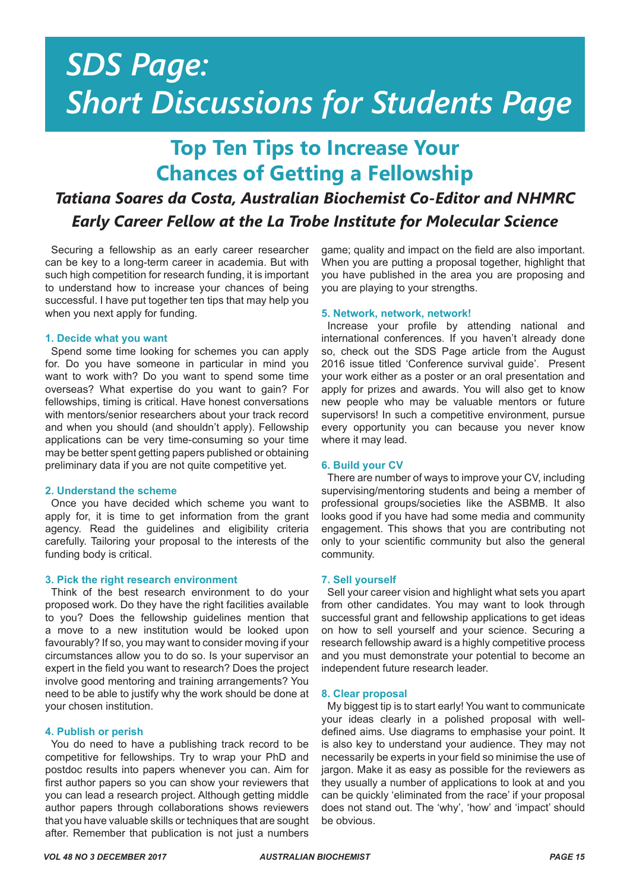## *SDS Page: Short Discussions for Students Page*

### **Top Ten Tips to Increase Your Chances of Getting a Fellowship**

### *Tatiana Soares da Costa, Australian Biochemist Co-Editor and NHMRC Early Career Fellow at the La Trobe Institute for Molecular Science*

Securing a fellowship as an early career researcher can be key to a long-term career in academia. But with such high competition for research funding, it is important to understand how to increase your chances of being successful. I have put together ten tips that may help you when you next apply for funding.

#### **1. Decide what you want**

Spend some time looking for schemes you can apply for. Do you have someone in particular in mind you want to work with? Do you want to spend some time overseas? What expertise do you want to gain? For fellowships, timing is critical. Have honest conversations with mentors/senior researchers about your track record and when you should (and shouldn't apply). Fellowship applications can be very time-consuming so your time may be better spent getting papers published or obtaining preliminary data if you are not quite competitive yet.

#### **2. Understand the scheme**

Once you have decided which scheme you want to apply for, it is time to get information from the grant agency. Read the guidelines and eligibility criteria carefully. Tailoring your proposal to the interests of the funding body is critical.

#### **3. Pick the right research environment**

Think of the best research environment to do your proposed work. Do they have the right facilities available to you? Does the fellowship guidelines mention that a move to a new institution would be looked upon favourably? If so, you may want to consider moving if your circumstances allow you to do so. Is your supervisor an expert in the field you want to research? Does the project involve good mentoring and training arrangements? You need to be able to justify why the work should be done at your chosen institution.

#### **4. Publish or perish**

You do need to have a publishing track record to be competitive for fellowships. Try to wrap your PhD and postdoc results into papers whenever you can. Aim for first author papers so you can show your reviewers that you can lead a research project. Although getting middle author papers through collaborations shows reviewers that you have valuable skills or techniques that are sought after. Remember that publication is not just a numbers

game; quality and impact on the field are also important. When you are putting a proposal together, highlight that you have published in the area you are proposing and you are playing to your strengths.

#### **5. Network, network, network!**

Increase your profile by attending national and international conferences. If you haven't already done so, check out the SDS Page article from the August 2016 issue titled 'Conference survival guide'. Present your work either as a poster or an oral presentation and apply for prizes and awards. You will also get to know new people who may be valuable mentors or future supervisors! In such a competitive environment, pursue every opportunity you can because you never know where it may lead.

#### **6. Build your CV**

There are number of ways to improve your CV, including supervising/mentoring students and being a member of professional groups/societies like the ASBMB. It also looks good if you have had some media and community engagement. This shows that you are contributing not only to your scientific community but also the general community.

#### **7. Sell yourself**

Sell your career vision and highlight what sets you apart from other candidates. You may want to look through successful grant and fellowship applications to get ideas on how to sell yourself and your science. Securing a research fellowship award is a highly competitive process and you must demonstrate your potential to become an independent future research leader.

#### **8. Clear proposal**

My biggest tip is to start early! You want to communicate your ideas clearly in a polished proposal with welldefined aims. Use diagrams to emphasise your point. It is also key to understand your audience. They may not necessarily be experts in your field so minimise the use of jargon. Make it as easy as possible for the reviewers as they usually a number of applications to look at and you can be quickly 'eliminated from the race' if your proposal does not stand out. The 'why', 'how' and 'impact' should be obvious.